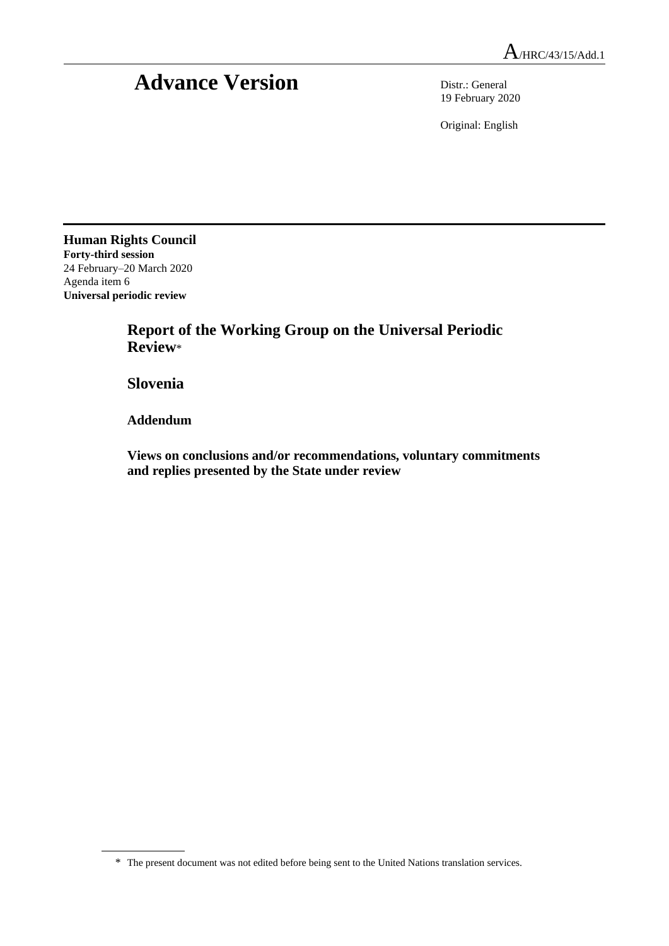# **Advance Version** Distr.: General

19 February 2020

Original: English

**Human Rights Council Forty-third session** 24 February–20 March 2020 Agenda item 6 **Universal periodic review**

> **Report of the Working Group on the Universal Periodic Review**\*

**Slovenia**

**Addendum**

**Views on conclusions and/or recommendations, voluntary commitments and replies presented by the State under review**

<sup>\*</sup> The present document was not edited before being sent to the United Nations translation services.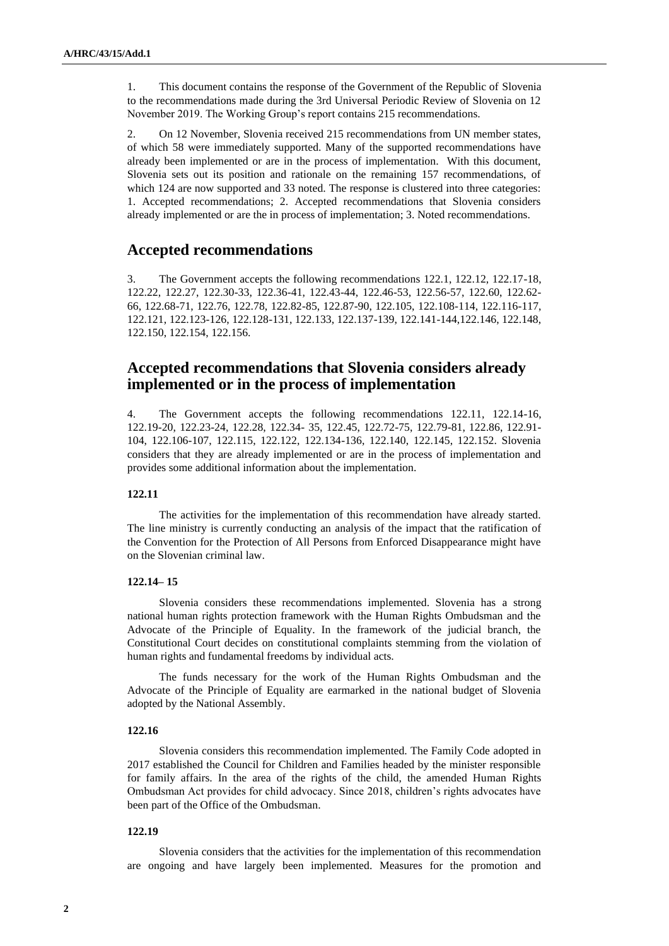1. This document contains the response of the Government of the Republic of Slovenia to the recommendations made during the 3rd Universal Periodic Review of Slovenia on 12 November 2019. The Working Group's report contains 215 recommendations.

2. On 12 November, Slovenia received 215 recommendations from UN member states, of which 58 were immediately supported. Many of the supported recommendations have already been implemented or are in the process of implementation. With this document, Slovenia sets out its position and rationale on the remaining 157 recommendations, of which 124 are now supported and 33 noted. The response is clustered into three categories: 1. Accepted recommendations; 2. Accepted recommendations that Slovenia considers already implemented or are the in process of implementation; 3. Noted recommendations.

# **Accepted recommendations**

3. The Government accepts the following recommendations 122.1, 122.12, 122.17-18, 122.22, 122.27, 122.30-33, 122.36-41, 122.43-44, 122.46-53, 122.56-57, 122.60, 122.62- 66, 122.68-71, 122.76, 122.78, 122.82-85, 122.87-90, 122.105, 122.108-114, 122.116-117, 122.121, 122.123-126, 122.128-131, 122.133, 122.137-139, 122.141-144,122.146, 122.148, 122.150, 122.154, 122.156.

# **Accepted recommendations that Slovenia considers already implemented or in the process of implementation**

4. The Government accepts the following recommendations 122.11, 122.14-16, 122.19-20, 122.23-24, 122.28, 122.34- 35, 122.45, 122.72-75, 122.79-81, 122.86, 122.91- 104, 122.106-107, 122.115, 122.122, 122.134-136, 122.140, 122.145, 122.152. Slovenia considers that they are already implemented or are in the process of implementation and provides some additional information about the implementation.

# **122.11**

The activities for the implementation of this recommendation have already started. The line ministry is currently conducting an analysis of the impact that the ratification of the Convention for the Protection of All Persons from Enforced Disappearance might have on the Slovenian criminal law.

#### **122.14– 15**

Slovenia considers these recommendations implemented. Slovenia has a strong national human rights protection framework with the Human Rights Ombudsman and the Advocate of the Principle of Equality. In the framework of the judicial branch, the Constitutional Court decides on constitutional complaints stemming from the violation of human rights and fundamental freedoms by individual acts.

The funds necessary for the work of the Human Rights Ombudsman and the Advocate of the Principle of Equality are earmarked in the national budget of Slovenia adopted by the National Assembly.

# **122.16**

Slovenia considers this recommendation implemented. The Family Code adopted in 2017 established the Council for Children and Families headed by the minister responsible for family affairs. In the area of the rights of the child, the amended Human Rights Ombudsman Act provides for child advocacy. Since 2018, children's rights advocates have been part of the Office of the Ombudsman.

#### **122.19**

Slovenia considers that the activities for the implementation of this recommendation are ongoing and have largely been implemented. Measures for the promotion and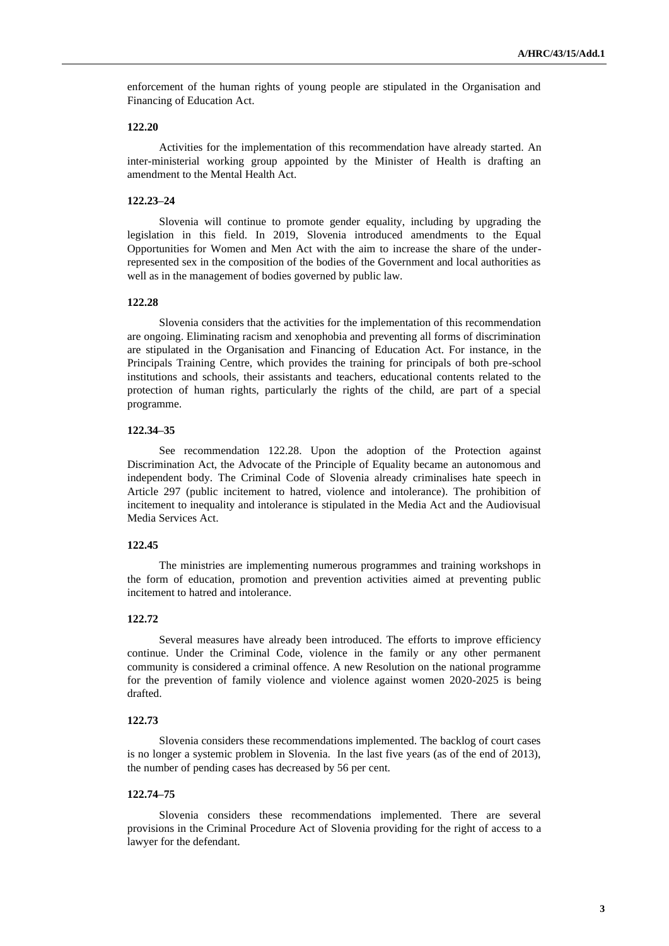enforcement of the human rights of young people are stipulated in the Organisation and Financing of Education Act.

#### **122.20**

Activities for the implementation of this recommendation have already started. An inter-ministerial working group appointed by the Minister of Health is drafting an amendment to the Mental Health Act.

#### **122.23–24**

Slovenia will continue to promote gender equality, including by upgrading the legislation in this field. In 2019, Slovenia introduced amendments to the Equal Opportunities for Women and Men Act with the aim to increase the share of the underrepresented sex in the composition of the bodies of the Government and local authorities as well as in the management of bodies governed by public law.

# **122.28**

Slovenia considers that the activities for the implementation of this recommendation are ongoing. Eliminating racism and xenophobia and preventing all forms of discrimination are stipulated in the Organisation and Financing of Education Act. For instance, in the Principals Training Centre, which provides the training for principals of both pre-school institutions and schools, their assistants and teachers, educational contents related to the protection of human rights, particularly the rights of the child, are part of a special programme.

#### **122.34–35**

See recommendation 122.28. Upon the adoption of the Protection against Discrimination Act, the Advocate of the Principle of Equality became an autonomous and independent body. The Criminal Code of Slovenia already criminalises hate speech in Article 297 (public incitement to hatred, violence and intolerance). The prohibition of incitement to inequality and intolerance is stipulated in the Media Act and the Audiovisual Media Services Act.

#### **122.45**

The ministries are implementing numerous programmes and training workshops in the form of education, promotion and prevention activities aimed at preventing public incitement to hatred and intolerance.

# **122.72**

Several measures have already been introduced. The efforts to improve efficiency continue. Under the Criminal Code, violence in the family or any other permanent community is considered a criminal offence. A new Resolution on the national programme for the prevention of family violence and violence against women 2020-2025 is being drafted.

#### **122.73**

Slovenia considers these recommendations implemented. The backlog of court cases is no longer a systemic problem in Slovenia. In the last five years (as of the end of 2013), the number of pending cases has decreased by 56 per cent.

# **122.74–75**

Slovenia considers these recommendations implemented. There are several provisions in the Criminal Procedure Act of Slovenia providing for the right of access to a lawyer for the defendant.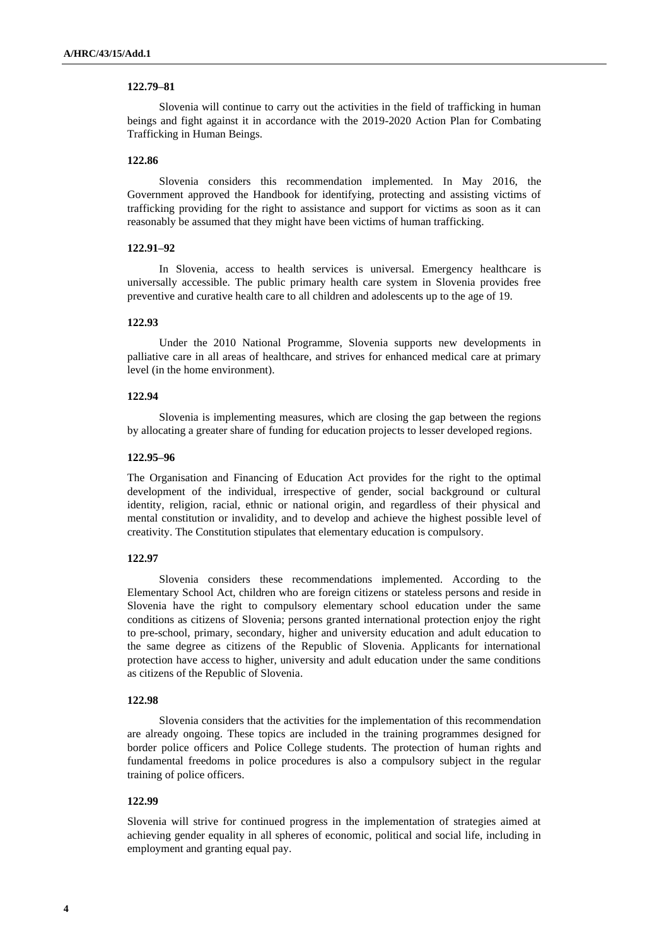# **122.79–81**

Slovenia will continue to carry out the activities in the field of trafficking in human beings and fight against it in accordance with the 2019-2020 Action Plan for Combating Trafficking in Human Beings.

#### **122.86**

Slovenia considers this recommendation implemented. In May 2016, the Government approved the Handbook for identifying, protecting and assisting victims of trafficking providing for the right to assistance and support for victims as soon as it can reasonably be assumed that they might have been victims of human trafficking.

#### **122.91–92**

In Slovenia, access to health services is universal. Emergency healthcare is universally accessible. The public primary health care system in Slovenia provides free preventive and curative health care to all children and adolescents up to the age of 19.

#### **122.93**

Under the 2010 National Programme, Slovenia supports new developments in palliative care in all areas of healthcare, and strives for enhanced medical care at primary level (in the home environment).

# **122.94**

Slovenia is implementing measures, which are closing the gap between the regions by allocating a greater share of funding for education projects to lesser developed regions.

#### **122.95–96**

The Organisation and Financing of Education Act provides for the right to the optimal development of the individual, irrespective of gender, social background or cultural identity, religion, racial, ethnic or national origin, and regardless of their physical and mental constitution or invalidity, and to develop and achieve the highest possible level of creativity. The Constitution stipulates that elementary education is compulsory.

#### **122.97**

Slovenia considers these recommendations implemented. According to the Elementary School Act, children who are foreign citizens or stateless persons and reside in Slovenia have the right to compulsory elementary school education under the same conditions as citizens of Slovenia; persons granted international protection enjoy the right to pre-school, primary, secondary, higher and university education and adult education to the same degree as citizens of the Republic of Slovenia. Applicants for international protection have access to higher, university and adult education under the same conditions as citizens of the Republic of Slovenia.

#### **122.98**

Slovenia considers that the activities for the implementation of this recommendation are already ongoing. These topics are included in the training programmes designed for border police officers and Police College students. The protection of human rights and fundamental freedoms in police procedures is also a compulsory subject in the regular training of police officers.

#### **122.99**

Slovenia will strive for continued progress in the implementation of strategies aimed at achieving gender equality in all spheres of economic, political and social life, including in employment and granting equal pay.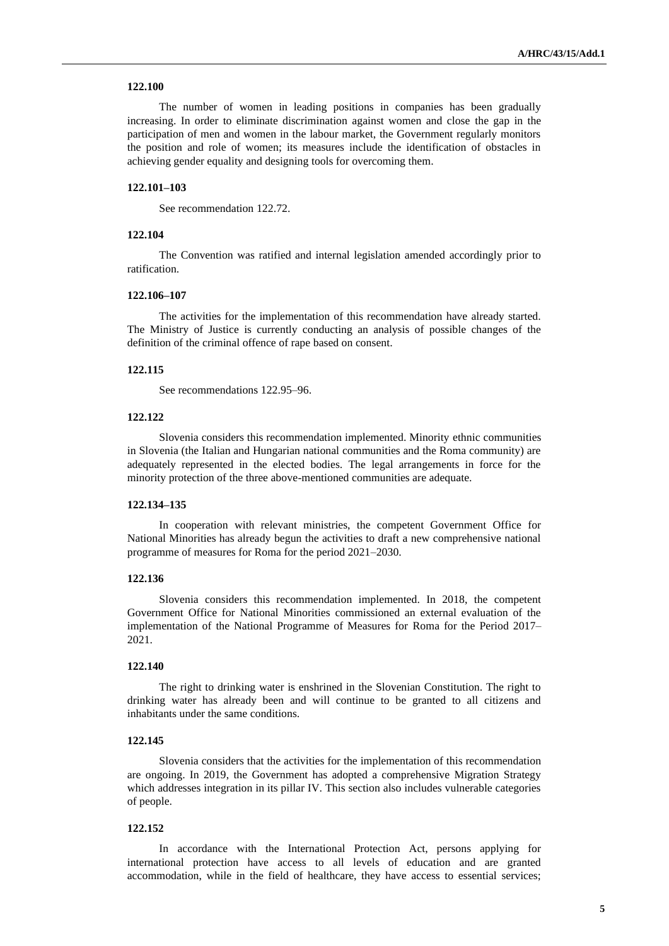# **122.100**

The number of women in leading positions in companies has been gradually increasing. In order to eliminate discrimination against women and close the gap in the participation of men and women in the labour market, the Government regularly monitors the position and role of women; its measures include the identification of obstacles in achieving gender equality and designing tools for overcoming them.

# **122.101–103**

See recommendation 122.72.

# **122.104**

The Convention was ratified and internal legislation amended accordingly prior to ratification.

#### **122.106–107**

The activities for the implementation of this recommendation have already started. The Ministry of Justice is currently conducting an analysis of possible changes of the definition of the criminal offence of rape based on consent.

#### **122.115**

See recommendations 122.95–96.

# **122.122**

Slovenia considers this recommendation implemented. Minority ethnic communities in Slovenia (the Italian and Hungarian national communities and the Roma community) are adequately represented in the elected bodies. The legal arrangements in force for the minority protection of the three above-mentioned communities are adequate.

#### **122.134–135**

In cooperation with relevant ministries, the competent Government Office for National Minorities has already begun the activities to draft a new comprehensive national programme of measures for Roma for the period 2021–2030.

#### **122.136**

Slovenia considers this recommendation implemented. In 2018, the competent Government Office for National Minorities commissioned an external evaluation of the implementation of the National Programme of Measures for Roma for the Period 2017– 2021.

# **122.140**

The right to drinking water is enshrined in the Slovenian Constitution. The right to drinking water has already been and will continue to be granted to all citizens and inhabitants under the same conditions.

#### **122.145**

Slovenia considers that the activities for the implementation of this recommendation are ongoing. In 2019, the Government has adopted a comprehensive Migration Strategy which addresses integration in its pillar IV. This section also includes vulnerable categories of people.

# **122.152**

In accordance with the International Protection Act, persons applying for international protection have access to all levels of education and are granted accommodation, while in the field of healthcare, they have access to essential services;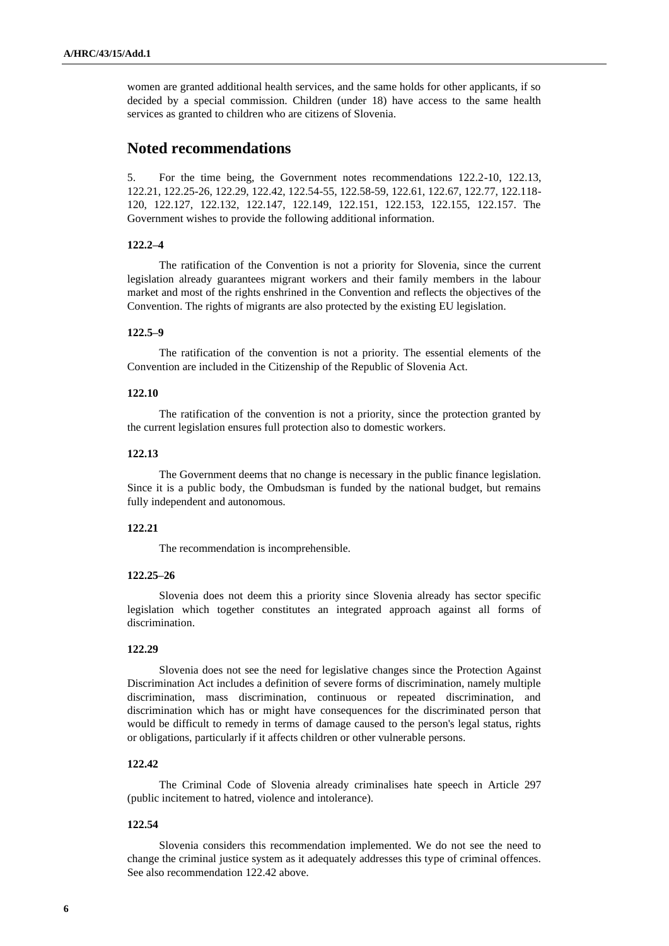women are granted additional health services, and the same holds for other applicants, if so decided by a special commission. Children (under 18) have access to the same health services as granted to children who are citizens of Slovenia.

# **Noted recommendations**

5. For the time being, the Government notes recommendations 122.2-10, 122.13, 122.21, 122.25-26, 122.29, 122.42, 122.54-55, 122.58-59, 122.61, 122.67, 122.77, 122.118- 120, 122.127, 122.132, 122.147, 122.149, 122.151, 122.153, 122.155, 122.157. The Government wishes to provide the following additional information.

# **122.2–4**

The ratification of the Convention is not a priority for Slovenia, since the current legislation already guarantees migrant workers and their family members in the labour market and most of the rights enshrined in the Convention and reflects the objectives of the Convention. The rights of migrants are also protected by the existing EU legislation.

# **122.5–9**

The ratification of the convention is not a priority. The essential elements of the Convention are included in the Citizenship of the Republic of Slovenia Act.

#### **122.10**

The ratification of the convention is not a priority, since the protection granted by the current legislation ensures full protection also to domestic workers.

#### **122.13**

The Government deems that no change is necessary in the public finance legislation. Since it is a public body, the Ombudsman is funded by the national budget, but remains fully independent and autonomous.

# **122.21**

The recommendation is incomprehensible.

# **122.25–26**

Slovenia does not deem this a priority since Slovenia already has sector specific legislation which together constitutes an integrated approach against all forms of discrimination.

# **122.29**

Slovenia does not see the need for legislative changes since the Protection Against Discrimination Act includes a definition of severe forms of discrimination, namely multiple discrimination, mass discrimination, continuous or repeated discrimination, and discrimination which has or might have consequences for the discriminated person that would be difficult to remedy in terms of damage caused to the person's legal status, rights or obligations, particularly if it affects children or other vulnerable persons.

# **122.42**

The Criminal Code of Slovenia already criminalises hate speech in Article 297 (public incitement to hatred, violence and intolerance).

# **122.54**

Slovenia considers this recommendation implemented. We do not see the need to change the criminal justice system as it adequately addresses this type of criminal offences. See also recommendation 122.42 above.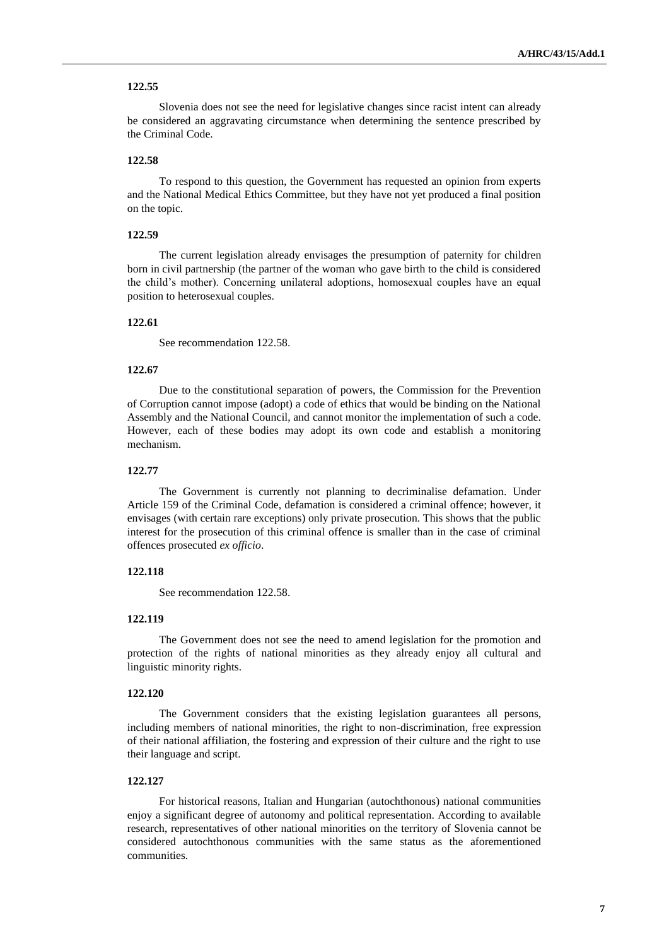## **122.55**

Slovenia does not see the need for legislative changes since racist intent can already be considered an aggravating circumstance when determining the sentence prescribed by the Criminal Code.

#### **122.58**

To respond to this question, the Government has requested an opinion from experts and the National Medical Ethics Committee, but they have not yet produced a final position on the topic.

# **122.59**

The current legislation already envisages the presumption of paternity for children born in civil partnership (the partner of the woman who gave birth to the child is considered the child's mother). Concerning unilateral adoptions, homosexual couples have an equal position to heterosexual couples.

# **122.61**

See recommendation 122.58.

#### **122.67**

Due to the constitutional separation of powers, the Commission for the Prevention of Corruption cannot impose (adopt) a code of ethics that would be binding on the National Assembly and the National Council, and cannot monitor the implementation of such a code. However, each of these bodies may adopt its own code and establish a monitoring mechanism.

#### **122.77**

The Government is currently not planning to decriminalise defamation. Under Article 159 of the Criminal Code, defamation is considered a criminal offence; however, it envisages (with certain rare exceptions) only private prosecution. This shows that the public interest for the prosecution of this criminal offence is smaller than in the case of criminal offences prosecuted *ex officio*.

# **122.118**

See recommendation 122.58.

# **122.119**

The Government does not see the need to amend legislation for the promotion and protection of the rights of national minorities as they already enjoy all cultural and linguistic minority rights.

## **122.120**

The Government considers that the existing legislation guarantees all persons, including members of national minorities, the right to non-discrimination, free expression of their national affiliation, the fostering and expression of their culture and the right to use their language and script.

# **122.127**

For historical reasons, Italian and Hungarian (autochthonous) national communities enjoy a significant degree of autonomy and political representation. According to available research, representatives of other national minorities on the territory of Slovenia cannot be considered autochthonous communities with the same status as the aforementioned communities.